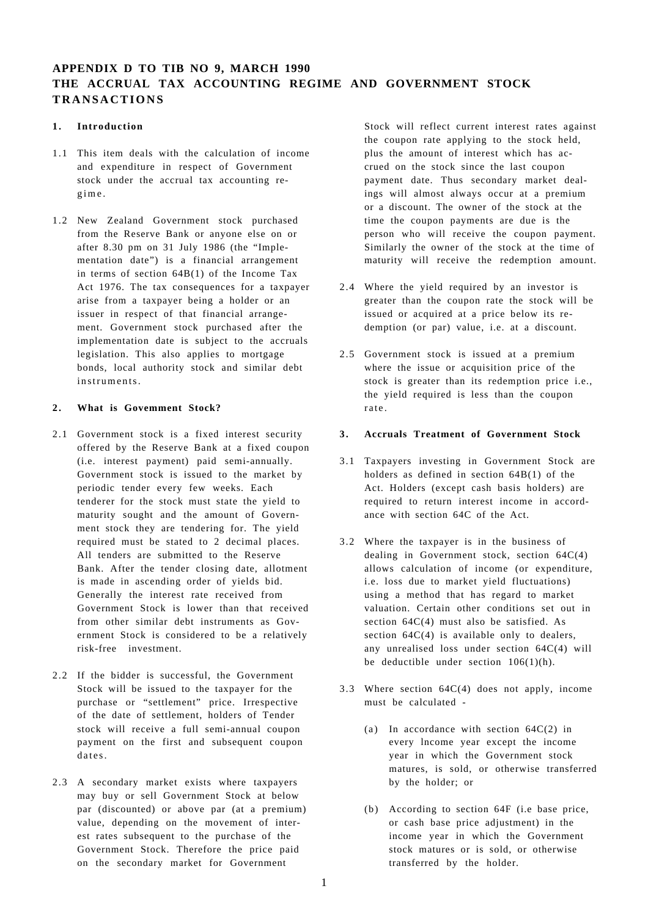# **APPENDIX D TO TIB NO 9, MARCH 1990 THE ACCRUAL TAX ACCOUNTING REGIME AND GOVERNMENT STOCK TRANSACTIONS**

# **1. Introduction**

- 1.1 This item deals with the calculation of income and expenditure in respect of Government stock under the accrual tax accounting regime .
- 1.2 New Zealand Government stock purchased from the Reserve Bank or anyone else on or after 8.30 pm on 31 July 1986 (the "Implementation date") is a financial arrangement in terms of section 64B(1) of the Income Tax Act 1976. The tax consequences for a taxpayer arise from a taxpayer being a holder or an issuer in respect of that financial arrangement. Government stock purchased after the implementation date is subject to the accruals legislation. This also applies to mortgage bonds, local authority stock and similar debt instruments.

## **2. What is Govemment Stock?**

- 2.1 Government stock is a fixed interest security offered by the Reserve Bank at a fixed coupon (i.e. interest payment) paid semi-annually. Government stock is issued to the market by periodic tender every few weeks. Each tenderer for the stock must state the yield to maturity sought and the amount of Government stock they are tendering for. The yield required must be stated to 2 decimal places. All tenders are submitted to the Reserve Bank. After the tender closing date, allotment is made in ascending order of yields bid. Generally the interest rate received from Government Stock is lower than that received from other similar debt instruments as Government Stock is considered to be a relatively risk-free investment.
- 2.2 If the bidder is successful, the Government Stock will be issued to the taxpayer for the purchase or "settlement" price. Irrespective of the date of settlement, holders of Tender stock will receive a full semi-annual coupon payment on the first and subsequent coupon dates.
- 2.3 A secondary market exists where taxpayers may buy or sell Government Stock at below par (discounted) or above par (at a premium) value, depending on the movement of interest rates subsequent to the purchase of the Government Stock. Therefore the price paid on the secondary market for Government

Stock will reflect current interest rates against the coupon rate applying to the stock held, plus the amount of interest which has accrued on the stock since the last coupon payment date. Thus secondary market dealings will almost always occur at a premium or a discount. The owner of the stock at the time the coupon payments are due is the person who will receive the coupon payment. Similarly the owner of the stock at the time of maturity will receive the redemption amount.

- 2.4 Where the yield required by an investor is greater than the coupon rate the stock will be issued or acquired at a price below its redemption (or par) value, i.e. at a discount.
- 2.5 Government stock is issued at a premium where the issue or acquisition price of the stock is greater than its redemption price i.e., the yield required is less than the coupon rate .

### **3. Accruals Treatment of Government Stock**

- 3.1 Taxpayers investing in Government Stock are holders as defined in section 64B(1) of the Act. Holders (except cash basis holders) are required to return interest income in accordance with section 64C of the Act.
- 3.2 Where the taxpayer is in the business of dealing in Government stock, section 64C(4) allows calculation of income (or expenditure, i.e. loss due to market yield fluctuations) using a method that has regard to market valuation. Certain other conditions set out in section 64C(4) must also be satisfied. As section  $64C(4)$  is available only to dealers, any unrealised loss under section 64C(4) will be deductible under section  $106(1)(h)$ .
- 3.3 Where section 64C(4) does not apply, income must be calculated -
	- (a) In accordance with section  $64C(2)$  in every lncome year except the income year in which the Government stock matures, is sold, or otherwise transferred by the holder; or
	- (b) According to section 64F (i.e base price, or cash base price adjustment) in the income year in which the Government stock matures or is sold, or otherwise transferred by the holder.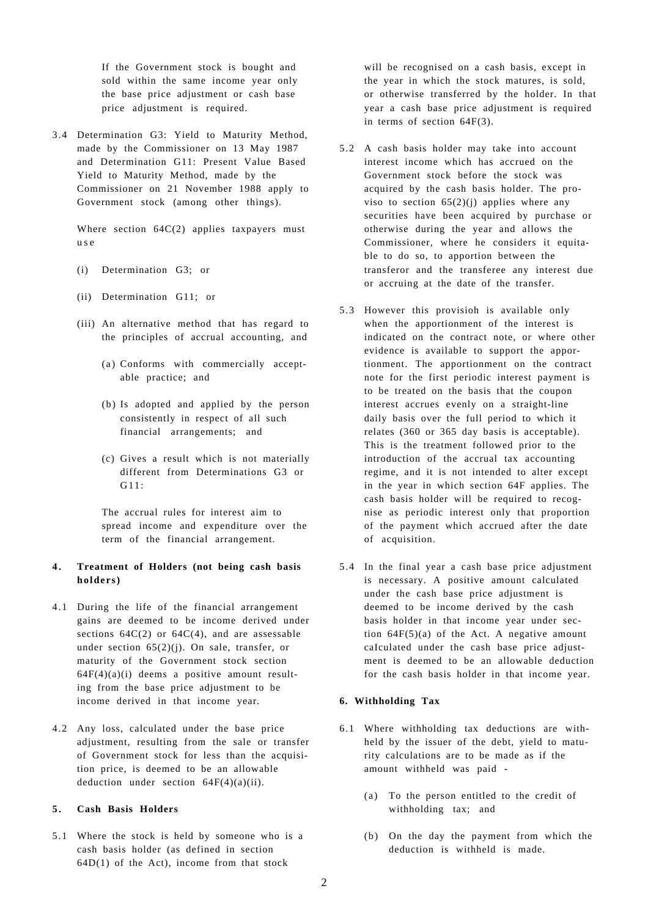If the Government stock is bought and sold within the same income year only the base price adjustment or cash base price adjustment is required.

3.4 Determination G3: Yield to Maturity Method, made by the Commissioner on 13 May 1987 and Determination G11: Present Value Based Yield to Maturity Method, made by the Commissioner on 21 November 1988 apply to Government stock (among other things).

Where section 64C(2) applies taxpayers must u s e

- (i) Determination G3; or
- (ii) Determination G11; or
- (iii) An alternative method that has regard to the principles of accrual accounting, and
	- (a) Conforms with commercially acceptable practice; and
	- (b) Is adopted and applied by the person consistently in respect of all such financial arrangements; and
	- (c) Gives a result which is not materially different from Determinations G3 or  $G11$

The accrual rules for interest aim to spread income and expenditure over the term of the financial arrangement.

## **4. Treatment of Holders (not being cash basis holders)**

- 4.1 During the life of the financial arrangement gains are deemed to be income derived under sections  $64C(2)$  or  $64C(4)$ , and are assessable under section  $65(2)(i)$ . On sale, transfer, or maturity of the Government stock section  $64F(4)(a)(i)$  deems a positive amount resulting from the base price adjustment to be income derived in that income year.
- 4.2 Any loss, calculated under the base price adjustment, resulting from the sale or transfer of Government stock for less than the acquisition price, is deemed to be an allowable deduction under section  $64F(4)(a)(ii)$ .

#### **5. Cash Basis Holders**

5.1 Where the stock is held by someone who is a cash basis holder (as defined in section  $64D(1)$  of the Act), income from that stock

will be recognised on a cash basis, except in the year in which the stock matures, is sold, or otherwise transferred by the holder. In that year a cash base price adjustment is required in terms of section 64F(3).

- 5.2 A cash basis holder may take into account interest income which has accrued on the Government stock before the stock was acquired by the cash basis holder. The proviso to section  $65(2)(i)$  applies where any securities have been acquired by purchase or otherwise during the year and allows the Commissioner, where he considers it equitable to do so, to apportion between the transferor and the transferee any interest due or accruing at the date of the transfer.
- 5.3 However this provisioh is available only when the apportionment of the interest is indicated on the contract note, or where other evidence is available to support the apportionment. The apportionment on the contract note for the first periodic interest payment is to be treated on the basis that the coupon interest accrues evenly on a straight-line daily basis over the full period to which it relates (360 or 365 day basis is acceptable). This is the treatment followed prior to the introduction of the accrual tax accounting regime, and it is not intended to alter except in the year in which section 64F applies. The cash basis holder will be required to recognise as periodic interest only that proportion of the payment which accrued after the date of acquisition.
- 5.4 In the final year a cash base price adjustment is necessary. A positive amount calculated under the cash base price adjustment is deemed to be income derived by the cash basis holder in that income year under section  $64F(5)(a)$  of the Act. A negative amount caIculated under the cash base price adjustment is deemed to be an allowable deduction for the cash basis holder in that income year.

#### **6. Withholding Tax**

- 6.1 Where withholding tax deductions are withheld by the issuer of the debt, yield to maturity calculations are to be made as if the amount withheld was paid -
	- (a) To the person entitled to the credit of withholding tax; and
	- (b) On the day the payment from which the deduction is withheld is made.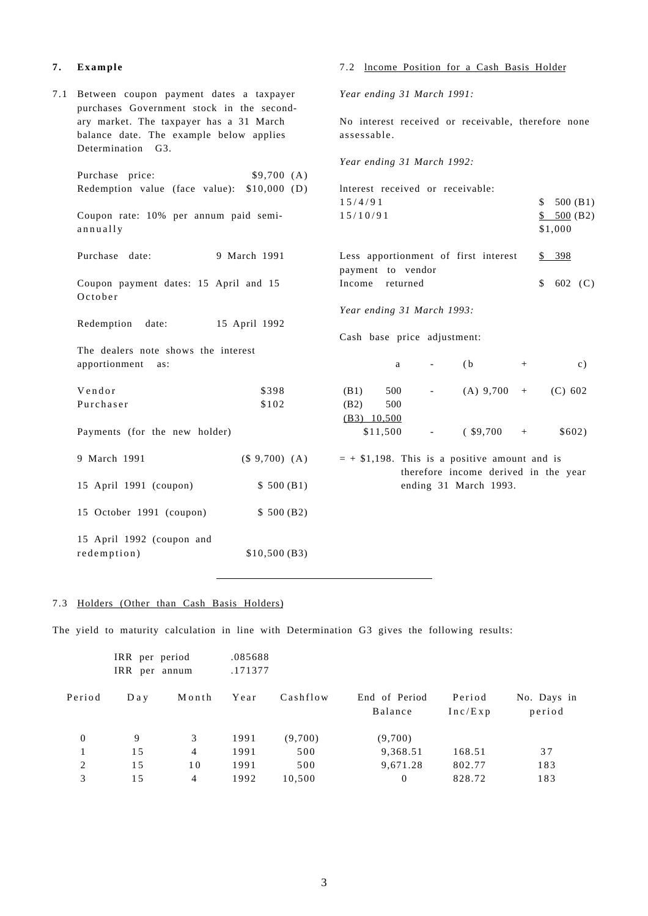# **7. Exampl e**

| 7.1 | Between coupon payment dates a taxpayer<br>purchases Government stock in the second- | Year ending 31 March 1991:                         |                             |                            |                          |                                                 |        |                  |
|-----|--------------------------------------------------------------------------------------|----------------------------------------------------|-----------------------------|----------------------------|--------------------------|-------------------------------------------------|--------|------------------|
|     | ary market. The taxpayer has a 31 March                                              | No interest received or receivable, therefore none |                             |                            |                          |                                                 |        |                  |
|     | balance date. The example below applies                                              |                                                    | assessable.                 |                            |                          |                                                 |        |                  |
|     | Determination G3.                                                                    |                                                    |                             |                            |                          |                                                 |        |                  |
|     |                                                                                      | Year ending 31 March 1992:                         |                             |                            |                          |                                                 |        |                  |
|     | Purchase price:                                                                      | \$9,700(A)                                         |                             |                            |                          |                                                 |        |                  |
|     | Redemption value (face value): \$10,000 (D)                                          | Interest received or receivable:                   |                             |                            |                          |                                                 |        |                  |
|     |                                                                                      |                                                    | 15/4/91                     |                            |                          |                                                 |        | 500 $(B1)$<br>\$ |
|     | Coupon rate: 10% per annum paid semi-                                                |                                                    | 15/10/91                    |                            |                          |                                                 |        | \$500(B2)        |
|     | annually                                                                             |                                                    |                             |                            |                          |                                                 |        | \$1,000          |
|     |                                                                                      |                                                    |                             |                            |                          |                                                 |        |                  |
|     | 9 March 1991<br>Purchase date:                                                       |                                                    |                             |                            |                          | Less apportionment of first interest            |        | \$398            |
|     |                                                                                      |                                                    | payment to vendor           |                            |                          |                                                 |        |                  |
|     | Coupon payment dates: 15 April and 15                                                |                                                    | Income returned             |                            |                          |                                                 |        | \$<br>602 $(C)$  |
|     | October                                                                              |                                                    |                             |                            |                          |                                                 |        |                  |
|     |                                                                                      |                                                    |                             | Year ending 31 March 1993: |                          |                                                 |        |                  |
|     | Redemption<br>date:                                                                  | 15 April 1992                                      |                             |                            |                          |                                                 |        |                  |
|     |                                                                                      |                                                    | Cash base price adjustment: |                            |                          |                                                 |        |                  |
|     | The dealers note shows the interest                                                  |                                                    |                             |                            |                          |                                                 |        |                  |
|     | apportionment<br>as:                                                                 |                                                    |                             | a                          | $\overline{\phantom{a}}$ | (b)                                             | $^{+}$ | c)               |
|     |                                                                                      |                                                    |                             |                            |                          |                                                 |        |                  |
|     | Vendor                                                                               | \$398                                              | (B1)                        | 500                        | $\overline{\phantom{a}}$ | $(A)$ 9,700                                     | $+$    | (C) 602          |
|     | Purchaser                                                                            | \$102                                              | (B2)                        | 500                        |                          |                                                 |        |                  |
|     |                                                                                      |                                                    | $(B3)$ 10,500               |                            |                          |                                                 |        |                  |
|     | Payments (for the new holder)                                                        |                                                    |                             | \$11,500                   | $\overline{\phantom{a}}$ | $(*9,700$                                       | $+$    | \$602)           |
|     | 9 March 1991                                                                         | (\$ 9,700) (A)                                     |                             |                            |                          | $= +$ \$1,198. This is a positive amount and is |        |                  |
|     |                                                                                      |                                                    |                             |                            |                          | therefore income derived in the year            |        |                  |
|     | 15 April 1991 (coupon)                                                               | \$500(B1)                                          |                             |                            |                          | ending 31 March 1993.                           |        |                  |
|     | 15 October 1991 (coupon)                                                             | \$500(B2)                                          |                             |                            |                          |                                                 |        |                  |
|     |                                                                                      |                                                    |                             |                            |                          |                                                 |        |                  |
|     | 15 April 1992 (coupon and                                                            |                                                    |                             |                            |                          |                                                 |        |                  |
|     | redemption)                                                                          | \$10,500(B3)                                       |                             |                            |                          |                                                 |        |                  |
|     |                                                                                      |                                                    |                             |                            |                          |                                                 |        |                  |

# 7.3 Holders (Other than Cash Basis Holders)

The yield to maturity calculation in line with Determination G3 gives the following results:

|        | IRR per period<br>IRR per annum |       | .085688<br>.171377 |          |                          |                   |                       |
|--------|---------------------------------|-------|--------------------|----------|--------------------------|-------------------|-----------------------|
| Period | D a y                           | Month | Year               | Cashflow | End of Period<br>Balance | Period<br>Inc/Exp | No. Days in<br>period |
| 0      | 9                               | 3     | 1991               | (9,700)  | (9,700)                  |                   |                       |
|        | 15                              | 4     | 1991               | 500      | 9,368.51                 | 168.51            | 37                    |
| 2      | 15                              | 10    | 1991               | 500      | 9,671.28                 | 802.77            | 183                   |
| 3      | 15                              | 4     | 1992               | 10,500   | $\theta$                 | 828.72            | 183                   |
|        |                                 |       |                    |          |                          |                   |                       |

# 7.2 lncome Position for a Cash Basis Holder